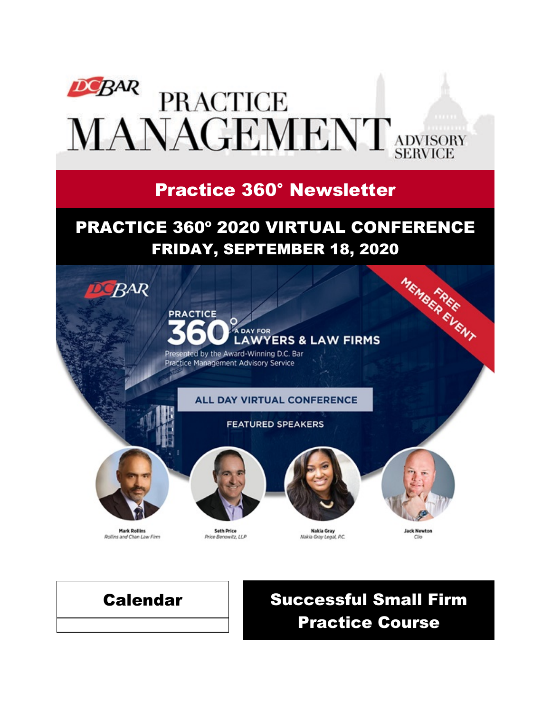

# Practice 360° Newsletter

# PRACTICE 360º 2020 VIRTUAL CONFERENCE



**ALL DAY VIRTUAL CONFERENCE** 

#### **FEATURED SPEAKERS**

![](_page_0_Picture_6.jpeg)

**DCBAR** 

**Mark Rollins** Rollins and Chan Law Firm

![](_page_0_Picture_8.jpeg)

**Seth Price** Price Benowitz, LLP

![](_page_0_Picture_10.jpeg)

**Nakia Gray** Nakia Gray Legal, P.C.

![](_page_0_Picture_12.jpeg)

**Jack Newton** 

# Calendar Successful Small Firm Practice Course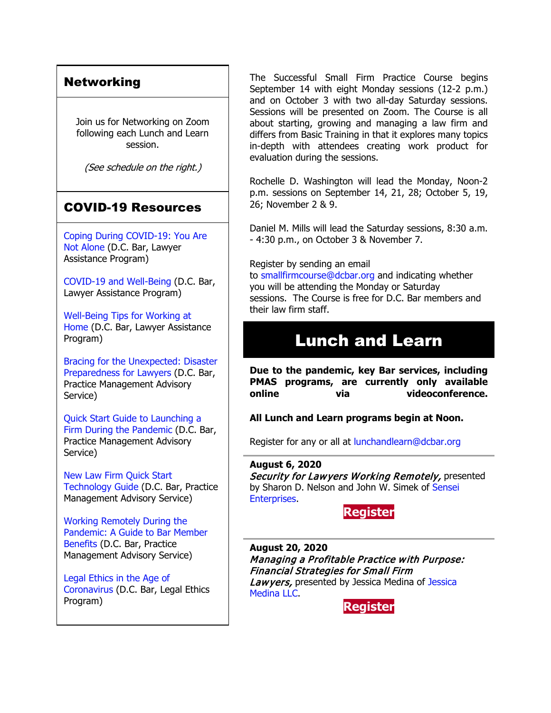#### Networking

Join us for Networking on Zoom following each Lunch and Learn session.

(See schedule on the right.)

### COVID-19 Resources

[Coping During COVID-19: You Are](https://www.dcbar.org/news-events/news/coping-during-covid-19-you-are-not-alone?utm_source=Real%20Magnet&utm_medium=INSERT_CHANNEL&utm_campaign=INSERT_LINK_ID)  [Not Alone](https://www.dcbar.org/news-events/news/coping-during-covid-19-you-are-not-alone?utm_source=Real%20Magnet&utm_medium=INSERT_CHANNEL&utm_campaign=INSERT_LINK_ID) (D.C. Bar, Lawyer Assistance Program)

[COVID-19 and Well-Being](https://dcbarcms-uat3.i3digital.com/DCBar/i3Base/DCBar/For%20Lawyers/Lawyer%20Assistance%20Program/PDFs/covid-19-and-well-being.pdf) (D.C. Bar, Lawyer Assistance Program)

[Well-Being Tips for Working at](https://dcbarcms-uat3.i3digital.com/DCBar/i3Base/DCBar/For%20Lawyers/Lawyer%20Assistance%20Program/PDFs/Wellness-Tips-Working-From-Home.pdf)  [Home](https://dcbarcms-uat3.i3digital.com/DCBar/i3Base/DCBar/For%20Lawyers/Lawyer%20Assistance%20Program/PDFs/Wellness-Tips-Working-From-Home.pdf) (D.C. Bar, Lawyer Assistance Program)

[Bracing for the Unexpected: Disaster](https://www.dcbar.org/news-events/news/bracing-for-the-unexpected-disaster-preparedness-f?utm_source=Real%20Magnet&utm_medium=INSERT_CHANNEL&utm_campaign=INSERT_LINK_ID)  [Preparedness for Lawyers](https://www.dcbar.org/news-events/news/bracing-for-the-unexpected-disaster-preparedness-f?utm_source=Real%20Magnet&utm_medium=INSERT_CHANNEL&utm_campaign=INSERT_LINK_ID) (D.C. Bar, Practice Management Advisory Service)

[Quick Start Guide to Launching a](https://www.dcbar.org/getmedia/d28b7c4b-3dcb-419e-828d-fdc2340588f9/Career-disruption-setting-up-a-law-firm-quickly-resources?utm_source=Real%20Magnet&utm_medium=INSERT_CHANNEL&utm_campaign=INSERT_LINK_ID)  [Firm During the Pandemic](https://www.dcbar.org/getmedia/d28b7c4b-3dcb-419e-828d-fdc2340588f9/Career-disruption-setting-up-a-law-firm-quickly-resources?utm_source=Real%20Magnet&utm_medium=INSERT_CHANNEL&utm_campaign=INSERT_LINK_ID) (D.C. Bar, Practice Management Advisory Service)

[New Law Firm Quick Start](https://www.dcbar.org/getmedia/34a3addd-9a13-4fc7-8e68-fbc2be8b50e0/Quick-start-Tech-Guide-final?utm_source=Real%20Magnet&utm_medium=INSERT_CHANNEL&utm_campaign=INSERT_LINK_ID)  [Technology Guide](https://www.dcbar.org/getmedia/34a3addd-9a13-4fc7-8e68-fbc2be8b50e0/Quick-start-Tech-Guide-final?utm_source=Real%20Magnet&utm_medium=INSERT_CHANNEL&utm_campaign=INSERT_LINK_ID) (D.C. Bar, Practice Management Advisory Service)

[Working Remotely During the](https://www.dcbar.org/news-events/news/working-remotely-during-the-pandemic-a-guide-to-ba?utm_source=Real%20Magnet&utm_medium=INSERT_CHANNEL&utm_campaign=INSERT_LINK_ID)  [Pandemic: A Guide to Bar Member](https://www.dcbar.org/news-events/news/working-remotely-during-the-pandemic-a-guide-to-ba?utm_source=Real%20Magnet&utm_medium=INSERT_CHANNEL&utm_campaign=INSERT_LINK_ID)  [Benefits](https://www.dcbar.org/news-events/news/working-remotely-during-the-pandemic-a-guide-to-ba?utm_source=Real%20Magnet&utm_medium=INSERT_CHANNEL&utm_campaign=INSERT_LINK_ID) (D.C. Bar, Practice Management Advisory Service)

[Legal Ethics in the Age of](https://www.dcbar.org/news-events/news/legal-ethics-in-the-age-of-the-coronavirus?utm_source=Real%20Magnet&utm_medium=INSERT_CHANNEL&utm_campaign=INSERT_LINK_ID)  [Coronavirus](https://www.dcbar.org/news-events/news/legal-ethics-in-the-age-of-the-coronavirus?utm_source=Real%20Magnet&utm_medium=INSERT_CHANNEL&utm_campaign=INSERT_LINK_ID) (D.C. Bar, Legal Ethics Program)

The Successful Small Firm Practice Course begins September 14 with eight Monday sessions (12-2 p.m.) and on October 3 with two all-day Saturday sessions. Sessions will be presented on Zoom. The Course is all about starting, growing and managing a law firm and differs from Basic Training in that it explores many topics in-depth with attendees creating work product for evaluation during the sessions.

Rochelle D. Washington will lead the Monday, Noon-2 p.m. sessions on September 14, 21, 28; October 5, 19, 26; November 2 & 9.

Daniel M. Mills will lead the Saturday sessions, 8:30 a.m. - 4:30 p.m., on October 3 & November 7.

#### Register by sending an email

to [smallfirmcourse@dcbar.org](mailto:SmallFirmCourse@DCBar.org) and indicating whether you will be attending the Monday or Saturday sessions. The Course is free for D.C. Bar members and their law firm staff.

## Lunch and Learn

**Due to the pandemic, key Bar services, including PMAS programs, are currently only available online via videoconference.**

#### **All Lunch and Learn programs begin at Noon.**

Register for any or all at [lunchandlearn@dcbar.org](mailto:lunchandlearn@dcbar.org?subject=Lunch%20and%20Learn)

#### **August 6, 2020**

Security for Lawyers Working Remotely, presented by Sharon D. Nelson and John W. Simek of [Sensei](https://senseient.com/)  [Enterprises.](https://senseient.com/)

#### **[Register](https://join.dcbar.org/eWeb/DynamicPage.aspx?site=dcbar&webcode=EventInfo&Reg_evt_key=222a4f36-2deb-48cd-b522-f665d072a4de&RegPath=EventRegFees&FreeEvent=&Event=Lunch%20and%20Learn:%20Security%20for%20Lawyers%20Working%20Remotely%20(Online%20Only)&FundraisingEvent=&evt_guest_limit=9999&utm_source=Real%20Magnet&utm_medium=INSERT_CHANNEL&utm_campaign=INSERT_LINK_ID)**

**August 20, 2020** Managing a Profitable Practice with Purpose: Financial Strategies for Small Firm Lawyers, presented by [Jessica](https://www.jessicamedinallc.com/) Medina of Jessica [Medina LLC.](https://www.jessicamedinallc.com/)

**[Register](https://join.dcbar.org/eWeb/DynamicPage.aspx?site=dcbar&webcode=EventInfo&Reg_evt_key=6de66dfa-988f-4bf3-bd5a-a9c3478bc473&RegPath=EventRegFees&FreeEvent=&Event=Lunch%20and%20Learn:%20Managing%20a%20Profitable%20Practice%20with%20Purpose:%20Financial%20Strategies%20for%20Small%20Firm%20Lawyers%20(Online%20Only)&FundraisingEvent=&evt_guest_limit=9999&utm_source=Real%20Magnet&utm_medium=INSERT_CHANNEL&utm_campaign=INSERT_LINK_ID)**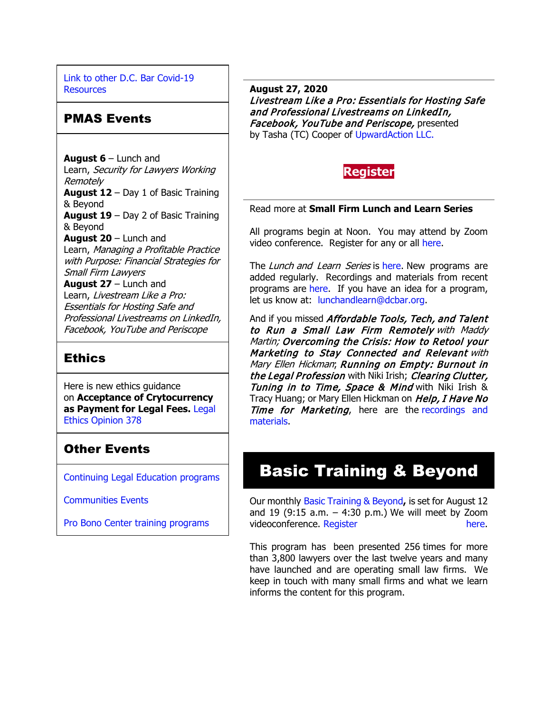[Link to other D.C. Bar Covid-19](https://www.dcbar.org/for-lawyers/membership/covid-19-resources?utm_source=Real%20Magnet&utm_medium=INSERT_CHANNEL&utm_campaign=INSERT_LINK_ID)  **[Resources](https://www.dcbar.org/for-lawyers/membership/covid-19-resources?utm_source=Real%20Magnet&utm_medium=INSERT_CHANNEL&utm_campaign=INSERT_LINK_ID)** 

#### PMAS Events

**August 6** – Lunch and Learn, Security for Lawyers Working Remotely **August 12** – Day 1 of Basic Training & Beyond **August 19** – Day 2 of Basic Training & Beyond **August 20** – Lunch and Learn, Managing a Profitable Practice with Purpose: Financial Strategies for Small Firm Lawyers **August 27** – Lunch and Learn, Livestream Like a Pro: Essentials for Hosting Safe and Professional Livestreams on LinkedIn, Facebook, YouTube and Periscope

#### **Ethics**

Here is new ethics guidance on **Acceptance of Crytocurrency as Payment for Legal Fees.** [Legal](https://www.dcbar.org/For-Lawyers/Legal-Ethics/Ethics-Opinions/Ethics-Opinion-378?utm_source=Real%20Magnet&utm_medium=INSERT_CHANNEL&utm_campaign=INSERT_LINK_ID)  [Ethics Opinion 378](https://www.dcbar.org/For-Lawyers/Legal-Ethics/Ethics-Opinions/Ethics-Opinion-378?utm_source=Real%20Magnet&utm_medium=INSERT_CHANNEL&utm_campaign=INSERT_LINK_ID)

### Other Events

[Continuing Legal Education programs](https://join.dcbar.org/eweb/DynamicPage.aspx?Site=DCBar&WebKey=cbe606bc-88d4-4d37-872c-f48d412a59e5&evt_etc_key=7aaf572d-f662-422f-9fe7-0ae3f4b705be&utm_source=Real%20Magnet&utm_medium=INSERT_CHANNEL&utm_campaign=INSERT_LINK_ID)

[Communities Events](https://join.dcbar.org/eweb/DynamicPage.aspx?site=dcbar&webcode=EventList&utm_source=Real%20Magnet&utm_medium=INSERT_CHANNEL&utm_campaign=INSERT_LINK_ID)

[Pro Bono Center training programs](https://www.dcbar.org/pro-bono/resources-and-training/pro-bono-center-training-program?utm_source=Real%20Magnet&utm_medium=INSERT_CHANNEL&utm_campaign=INSERT_LINK_ID)

**August 27, 2020** Livestream Like a Pro: Essentials for Hosting Safe and Professional Livestreams on LinkedIn, Facebook, YouTube and Periscope, presented by Tasha (TC) Cooper of [UpwardAction LLC.](https://upwardaction.com/)

![](_page_2_Picture_10.jpeg)

Read more at **[Small Firm Lunch](https://www.dcbar.org/for-lawyers/practice-management-advisory-service/courses-and-trainings/small-firm-lunch-and-learn-series?utm_source=Real%20Magnet&utm_medium=INSERT_CHANNEL&utm_campaign=INSERT_LINK_ID) and Learn Series**

All programs begin at Noon. You may attend by Zoom video conference. Register for any or all [here.](https://www.dcbar.org/for-lawyers/practice-management-advisory-service/courses-and-trainings/small-firm-lunch-and-learn-series?utm_source=Real%20Magnet&utm_medium=INSERT_CHANNEL&utm_campaign=INSERT_LINK_ID)

The Lunch and Learn Series is [here.](https://www.dcbar.org/for-lawyers/practice-management-advisory-service/courses-and-trainings/small-firm-lunch-and-learn-series?utm_source=Real%20Magnet&utm_medium=INSERT_CHANNEL&utm_campaign=INSERT_LINK_ID) New programs are added regularly. Recordings and materials from recent programs are [here.](https://www.dcbar.org/for-lawyers/practice-management-advisory-service/courses-and-trainings/small-firm-lunch-and-learn-series/past-lunch-and-learn-programs?utm_source=Real%20Magnet&utm_medium=INSERT_CHANNEL&utm_campaign=INSERT_LINK_ID) If you have an idea for a program, let us know at: [lunchandlearn@dcbar.org.](mailto:lunchandlearn@dcbar.org)

And if you missed Affordable Tools, Tech, and Talent to Run a Small Law Firm Remotely with Maddy Martin; Overcoming the Crisis: How to Retool your Marketing to Stay Connected and Relevant with Mary Ellen Hickman; Running on Empty: Burnout in the Legal Profession with Niki Irish; Clearing Clutter, **Tuning in to Time, Space & Mind with Niki Irish &** Tracy Huang; or Mary Ellen Hickman on Help, I Have No Time for Marketing, here are the recordings and [materials.](https://www.dcbar.org/for-lawyers/practice-management-advisory-service/courses-and-trainings/small-firm-lunch-and-learn-series/past-lunch-and-learn-programs?utm_source=Real%20Magnet&utm_medium=INSERT_CHANNEL&utm_campaign=INSERT_LINK_ID)

# Basic Training & Beyond

Our monthly [Basic Training & Beyond](https://www.dcbar.org/for-lawyers/practice-management-advisory-service/courses-and-trainings/basic-training-beyond?utm_source=Real%20Magnet&utm_medium=INSERT_CHANNEL&utm_campaign=INSERT_LINK_ID)**,** is set for August 12 and 19 (9:15 a.m.  $-$  4:30 p.m.) We will meet by Zoom videoconference. [Register here.](https://www.dcbar.org/for-lawyers/practice-management-advisory-service/courses-and-trainings/basic-training-beyond?utm_source=Real%20Magnet&utm_medium=INSERT_CHANNEL&utm_campaign=INSERT_LINK_ID)

This program has been presented 256 times for more than 3,800 lawyers over the last twelve years and many have launched and are operating small law firms. We keep in touch with many small firms and what we learn informs the content for this program.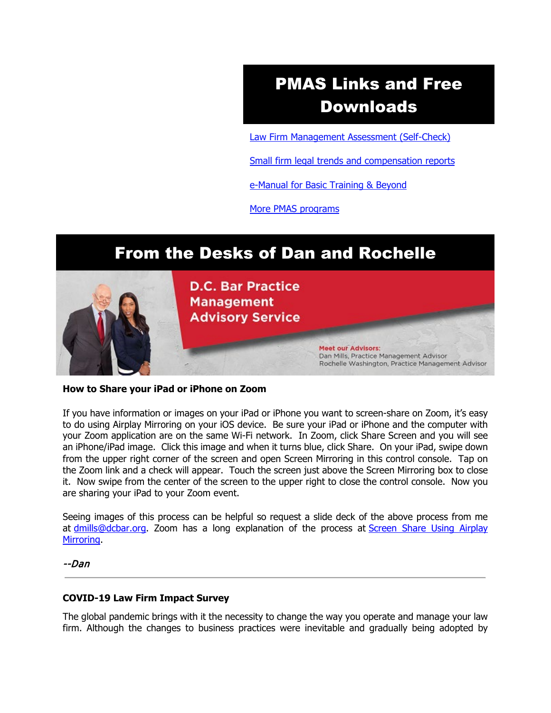# PMAS Links and Free Downloads

[Law Firm Management Assessment \(Self-Check\)](https://www.dcbar.org/for-lawyers/practice-management-advisory-service/practice-tips-and-compliance/self-check?utm_source=Real%20Magnet&utm_medium=INSERT_CHANNEL&utm_campaign=INSERT_LINK_ID)

[Small firm legal trends and compensation reports](https://www.dcbar.org/for-lawyers/practice-management-advisory-service/courses-and-trainings/basic-training-beyond/basic-training-beyond-supplements?utm_source=Real%20Magnet&utm_medium=INSERT_CHANNEL&utm_campaign=INSERT_LINK_ID)

[e-Manual for Basic Training & Beyond](https://www.dcbar.org/getmedia/9a37592a-b5ea-4210-879d-672a61fcd3ff/eManual-050316?utm_source=Real%20Magnet&utm_medium=INSERT_CHANNEL&utm_campaign=INSERT_LINK_ID)

[More PMAS programs](https://www.dcbar.org/for-lawyers/practice-management-advisory-service/courses-and-trainings?utm_source=Real%20Magnet&utm_medium=INSERT_CHANNEL&utm_campaign=INSERT_LINK_ID)

# From the Desks of Dan and Rochelle

![](_page_3_Picture_6.jpeg)

#### **How to Share your iPad or iPhone on Zoom**

If you have information or images on your iPad or iPhone you want to screen-share on Zoom, it's easy to do using Airplay Mirroring on your iOS device. Be sure your iPad or iPhone and the computer with your Zoom application are on the same Wi-Fi network. In Zoom, click Share Screen and you will see an iPhone/iPad image. Click this image and when it turns blue, click Share. On your iPad, swipe down from the upper right corner of the screen and open Screen Mirroring in this control console. Tap on the Zoom link and a check will appear. Touch the screen just above the Screen Mirroring box to close it. Now swipe from the center of the screen to the upper right to close the control console. Now you are sharing your iPad to your Zoom event.

Seeing images of this process can be helpful so request a slide deck of the above process from me at [dmills@dcbar.org.](mailto:dmills@dcbar.org) Zoom has a long explanation of the process at Screen Share Using Airplay [Mirroring.](https://support.zoom.us/hc/en-us/articles/204726885-Screen-Share-Using-Airplay-Mirroring)

#### --Dan

#### **COVID-19 Law Firm Impact Survey**

The global pandemic brings with it the necessity to change the way you operate and manage your law firm. Although the changes to business practices were inevitable and gradually being adopted by